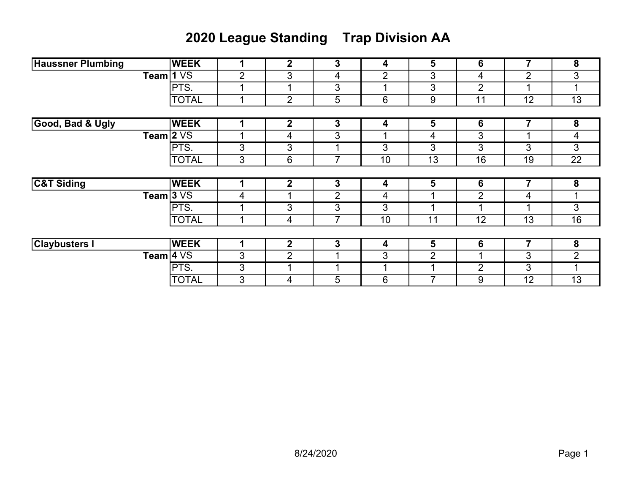## **2020 League Standing Trap Division AA**

| <b>Haussner Plumbing</b> | <b>WEEK</b>     | 1              | 2              | 3              | 4  | 5              | 6              | 7              | 8              |
|--------------------------|-----------------|----------------|----------------|----------------|----|----------------|----------------|----------------|----------------|
| <b>Team</b>              | 1 <sub>VS</sub> | $\overline{2}$ | 3              | 4              | 2  | 3              | 4              | $\overline{2}$ | 3              |
|                          | PTS.            |                |                | 3              | ◢  | 3              | 2              |                | ٠              |
|                          | <b>TOTAL</b>    | 1              | $\overline{2}$ | 5              | 6  | 9              | 11             | 12             | 13             |
|                          |                 |                |                |                |    |                |                |                |                |
| Good, Bad & Ugly         | <b>WEEK</b>     |                | $\mathbf 2$    | 3              | 4  | 5              | 6              | 7              | 8              |
| Team $2\,\mathrm{VS}$    |                 |                | 4              | 3              |    | 4              | 3              |                | 4              |
|                          | PTS.            | 3              | 3              | и              | 3  | 3              | 3              | 3              | 3              |
|                          | <b>TOTAL</b>    | 3              | 6              | 7              | 10 | 13             | 16             | 19             | 22             |
|                          |                 |                |                |                |    |                |                |                |                |
| <b>C&amp;T Siding</b>    | <b>WEEK</b>     | 1              | $\mathbf{2}$   | 3              | 4  | 5              | 6              | 7              | 8              |
| <b>Team</b>              | 3 <sub>VS</sub> | 4              |                | $\overline{2}$ | 4  | 1              | 2              | 4              |                |
|                          | PTS.            |                | 3              | 3              | 3  | ◢              |                |                | 3              |
|                          | <b>TOTAL</b>    |                | 4              | 7              | 10 | 11             | 12             | 13             | 16             |
|                          |                 |                |                |                |    |                |                |                |                |
| <b>Claybusters I</b>     | <b>WEEK</b>     | 1              | $\mathbf{2}$   | 3              | 4  | 5              | 6              | 7              | 8              |
| <b>Team</b>              | <b>4 VS</b>     | 3              | $\overline{2}$ |                | 3  | $\overline{2}$ |                | 3              | $\overline{2}$ |
|                          | PTS.            | 3              |                |                | ◢  | и              | $\overline{2}$ | 3              | ◢              |
|                          | <b>TOTAL</b>    | 3              | 4              | 5              | 6  | 7              | 9              | 12             | 13             |